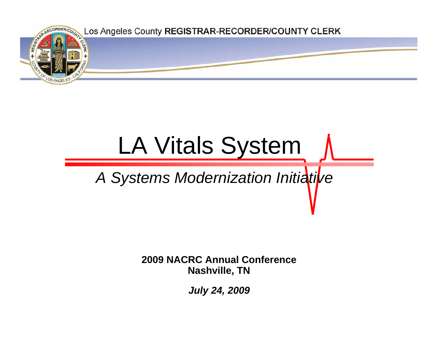

# LA Vitals System

## *A Systems Modernization Initiative*

**2009 NACRC Annual ConferenceNashville, TN**

*July 24, 2009*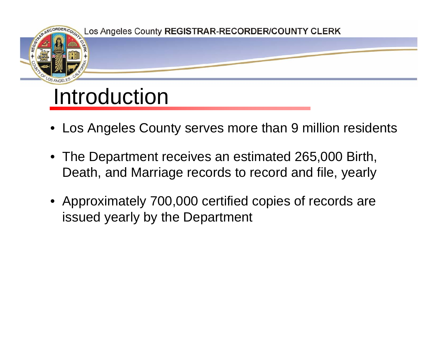

- Los Angeles County serves more than 9 million residents
- The Department receives an estimated 265,000 Birth, Death, and Marriage records to record and file, yearly
- Approximately 700,000 certified copies of records are issued yearly by the Department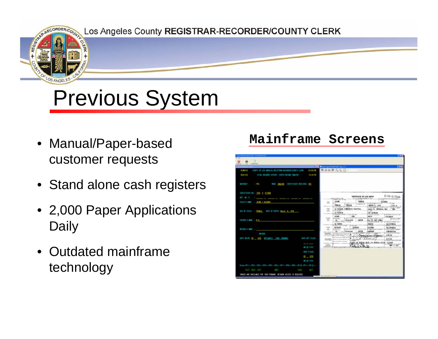os Angeles County REGISTRAR-RECORDER/COUNTY CLERK

# Previous System

- Manual/Paper-based customer requests
- Stand alone cash registers
- 2,000 Paper Applications **Daily**
- Outdated mainframe technology

### **Mainframe Screens**

| <b>ACTINE U</b><br>COUNTY OF LOS ANGELES RELEVANG AREOREEA/COUNTY ELERO<br>421-4-3<br>VETAL RECORDS SYSTEM + REATH RECORD ENQUINY<br>神日希<br>MODEL ENGINE EXECUTIVE RELEVANS WAS<br><b>ALC: THE</b><br>$-1.5$<br><b>CONTINUES MELL SEEN &amp; BANKS</b><br>0190-017009<br>CENTRALIE OF LIVE MATH.<br><b>WT. ME. S. CO.</b><br>THE R FRESHMA DEMANDED BY AND A<br>www<br><b>CONTRACTOR</b><br>-<br>JA188<br>ALCOHOL:<br>TRABLE<br>DIGLE'S MARCH 1 SALME 1 ALCOHOL<br>$-111$<br>A WORTH BANK SIGHT THE<br>w<br>per er et MABEUTA<br>12 list<br><b>FORALS</b><br><b>There</b><br><b>MELLER</b> SERVICE - PORTS<br>to their of sales that is seen<br>NET LANG<br>ेळ<br>La Milaza comunity souther.<br><b>SEP</b><br>theon R. INPORTAL INT<br>$\frac{1}{2} \frac{1}{2} \frac{1}{2} \frac{1}{2} \frac{1}{2} \frac{1}{2} \frac{1}{2} \frac{1}{2} \frac{1}{2} \frac{1}{2} \frac{1}{2} \frac{1}{2} \frac{1}{2} \frac{1}{2} \frac{1}{2} \frac{1}{2} \frac{1}{2} \frac{1}{2} \frac{1}{2} \frac{1}{2} \frac{1}{2} \frac{1}{2} \frac{1}{2} \frac{1}{2} \frac{1}{2} \frac{1}{2} \frac{1}{2} \frac{1}{2} \frac{1}{2} \frac{1}{2} \frac{1}{2} \frac{$<br><b>City of the </b><br>SEC OF CALLS: (1994) DATE OF \$3570 Service 1, 1976<br><b>COMPANY</b><br>La Wilhalm<br>LIN APONLISE<br>Starting it won't consider the last<br>TO BE SILENE<br><b>STREET AT 2 control</b><br><b>SHE</b><br><b>SANDE</b><br>19874<br>03048424<br><b>NAME OF OCCUPANT</b><br>"M Historic Tissue<br>dectated.<br>Laive<br>THE REPORT FOR DRIVING<br><b>NUMBER</b><br>a.<br>FATIES'S MAIL 1 P.A.<br><b>VISITE</b><br><b>R.I. R. Let Linux</b><br>123-46-8789<br>Charles Hotel<br>to motives or larger<br><b>CA RABIA</b><br><b><i>ISANG</i></b><br>DALEMBRIA<br>CONTROL TOWN<br>The restor costs<br><b>M-18-96</b><br><b>Defense Suite Cont</b><br><b>MOTHABL</b><br>16/66<br><b>LATERIES</b><br>ALIMBED<br><b>CALLY-DRUGA</b><br><b>KIND IS MAD</b><br>LBELL.<br>The Manage by List VI control<br>The State And College<br>1.Mar<br>71<br>49/19<br>LABORER<br>JB.<br>$-1.564470$<br><b><i>CONTRACTOR</i></b><br><b>SAFEK MOVE</b><br>TO SEE TO A STOLE A AV 25 YEAR<br><b>North Controller</b><br><b>SECRETS</b><br>j<br>1241214<br>5/A/26<br><b>China Colonia</b><br><b>STATISTICS</b><br>$25 - 10$<br>THE RESOLUTION OF AN ARTISTS CONTINUES.<br><b>DATE ART FELLION</b><br>L.Cassines<br>5/3/26<br>53/052<br>an an an institution of the products?<br>EST LA MISALA MUTIL LA MINALA CHILD', DIENNA<br><b>CONSULTANT</b><br>$\frac{1}{2}$<br><b>WELLER</b><br>幽 自信<br><b>CONTRACTOR</b><br><b>WELL PROP</b><br>SATE PILES<br>$B = 33$<br>$= 2.799$<br>【ANN-PT】一例】一例】一例本一例】一例】一例】一例第一例】一例 应一种   一例   二例   二 |                                                                   |          | <b>LET A Reserve Enterprise Service</b> |  |  |                             |
|-------------------------------------------------------------------------------------------------------------------------------------------------------------------------------------------------------------------------------------------------------------------------------------------------------------------------------------------------------------------------------------------------------------------------------------------------------------------------------------------------------------------------------------------------------------------------------------------------------------------------------------------------------------------------------------------------------------------------------------------------------------------------------------------------------------------------------------------------------------------------------------------------------------------------------------------------------------------------------------------------------------------------------------------------------------------------------------------------------------------------------------------------------------------------------------------------------------------------------------------------------------------------------------------------------------------------------------------------------------------------------------------------------------------------------------------------------------------------------------------------------------------------------------------------------------------------------------------------------------------------------------------------------------------------------------------------------------------------------------------------------------------------------------------------------------------------------------------------------------------------------------------------------------------------------------------------------------------------------------------------------------------------------------------------------------------------------------------------------------------------------------------------------------------------------------------------------------------------------------------------------------------------------------------------------------------------------------------------------------------------------------------------------------------------------------------------------------------------------------------------------------------------------------------------------------------------------------------------------------------------------------------------------------------------|-------------------------------------------------------------------|----------|-----------------------------------------|--|--|-----------------------------|
|                                                                                                                                                                                                                                                                                                                                                                                                                                                                                                                                                                                                                                                                                                                                                                                                                                                                                                                                                                                                                                                                                                                                                                                                                                                                                                                                                                                                                                                                                                                                                                                                                                                                                                                                                                                                                                                                                                                                                                                                                                                                                                                                                                                                                                                                                                                                                                                                                                                                                                                                                                                                                                                                         |                                                                   | 11/25/70 |                                         |  |  |                             |
|                                                                                                                                                                                                                                                                                                                                                                                                                                                                                                                                                                                                                                                                                                                                                                                                                                                                                                                                                                                                                                                                                                                                                                                                                                                                                                                                                                                                                                                                                                                                                                                                                                                                                                                                                                                                                                                                                                                                                                                                                                                                                                                                                                                                                                                                                                                                                                                                                                                                                                                                                                                                                                                                         |                                                                   |          |                                         |  |  |                             |
|                                                                                                                                                                                                                                                                                                                                                                                                                                                                                                                                                                                                                                                                                                                                                                                                                                                                                                                                                                                                                                                                                                                                                                                                                                                                                                                                                                                                                                                                                                                                                                                                                                                                                                                                                                                                                                                                                                                                                                                                                                                                                                                                                                                                                                                                                                                                                                                                                                                                                                                                                                                                                                                                         |                                                                   |          |                                         |  |  |                             |
|                                                                                                                                                                                                                                                                                                                                                                                                                                                                                                                                                                                                                                                                                                                                                                                                                                                                                                                                                                                                                                                                                                                                                                                                                                                                                                                                                                                                                                                                                                                                                                                                                                                                                                                                                                                                                                                                                                                                                                                                                                                                                                                                                                                                                                                                                                                                                                                                                                                                                                                                                                                                                                                                         |                                                                   |          |                                         |  |  |                             |
|                                                                                                                                                                                                                                                                                                                                                                                                                                                                                                                                                                                                                                                                                                                                                                                                                                                                                                                                                                                                                                                                                                                                                                                                                                                                                                                                                                                                                                                                                                                                                                                                                                                                                                                                                                                                                                                                                                                                                                                                                                                                                                                                                                                                                                                                                                                                                                                                                                                                                                                                                                                                                                                                         |                                                                   |          |                                         |  |  | <b>RUSSIANS</b>             |
|                                                                                                                                                                                                                                                                                                                                                                                                                                                                                                                                                                                                                                                                                                                                                                                                                                                                                                                                                                                                                                                                                                                                                                                                                                                                                                                                                                                                                                                                                                                                                                                                                                                                                                                                                                                                                                                                                                                                                                                                                                                                                                                                                                                                                                                                                                                                                                                                                                                                                                                                                                                                                                                                         |                                                                   |          |                                         |  |  |                             |
|                                                                                                                                                                                                                                                                                                                                                                                                                                                                                                                                                                                                                                                                                                                                                                                                                                                                                                                                                                                                                                                                                                                                                                                                                                                                                                                                                                                                                                                                                                                                                                                                                                                                                                                                                                                                                                                                                                                                                                                                                                                                                                                                                                                                                                                                                                                                                                                                                                                                                                                                                                                                                                                                         |                                                                   |          |                                         |  |  |                             |
|                                                                                                                                                                                                                                                                                                                                                                                                                                                                                                                                                                                                                                                                                                                                                                                                                                                                                                                                                                                                                                                                                                                                                                                                                                                                                                                                                                                                                                                                                                                                                                                                                                                                                                                                                                                                                                                                                                                                                                                                                                                                                                                                                                                                                                                                                                                                                                                                                                                                                                                                                                                                                                                                         |                                                                   |          |                                         |  |  | In bottom a writer we       |
|                                                                                                                                                                                                                                                                                                                                                                                                                                                                                                                                                                                                                                                                                                                                                                                                                                                                                                                                                                                                                                                                                                                                                                                                                                                                                                                                                                                                                                                                                                                                                                                                                                                                                                                                                                                                                                                                                                                                                                                                                                                                                                                                                                                                                                                                                                                                                                                                                                                                                                                                                                                                                                                                         |                                                                   |          |                                         |  |  | No bas or busines a servers |
|                                                                                                                                                                                                                                                                                                                                                                                                                                                                                                                                                                                                                                                                                                                                                                                                                                                                                                                                                                                                                                                                                                                                                                                                                                                                                                                                                                                                                                                                                                                                                                                                                                                                                                                                                                                                                                                                                                                                                                                                                                                                                                                                                                                                                                                                                                                                                                                                                                                                                                                                                                                                                                                                         |                                                                   |          |                                         |  |  | ALBOARD DE T. FA            |
|                                                                                                                                                                                                                                                                                                                                                                                                                                                                                                                                                                                                                                                                                                                                                                                                                                                                                                                                                                                                                                                                                                                                                                                                                                                                                                                                                                                                                                                                                                                                                                                                                                                                                                                                                                                                                                                                                                                                                                                                                                                                                                                                                                                                                                                                                                                                                                                                                                                                                                                                                                                                                                                                         |                                                                   |          |                                         |  |  |                             |
|                                                                                                                                                                                                                                                                                                                                                                                                                                                                                                                                                                                                                                                                                                                                                                                                                                                                                                                                                                                                                                                                                                                                                                                                                                                                                                                                                                                                                                                                                                                                                                                                                                                                                                                                                                                                                                                                                                                                                                                                                                                                                                                                                                                                                                                                                                                                                                                                                                                                                                                                                                                                                                                                         |                                                                   |          |                                         |  |  |                             |
|                                                                                                                                                                                                                                                                                                                                                                                                                                                                                                                                                                                                                                                                                                                                                                                                                                                                                                                                                                                                                                                                                                                                                                                                                                                                                                                                                                                                                                                                                                                                                                                                                                                                                                                                                                                                                                                                                                                                                                                                                                                                                                                                                                                                                                                                                                                                                                                                                                                                                                                                                                                                                                                                         |                                                                   |          |                                         |  |  |                             |
|                                                                                                                                                                                                                                                                                                                                                                                                                                                                                                                                                                                                                                                                                                                                                                                                                                                                                                                                                                                                                                                                                                                                                                                                                                                                                                                                                                                                                                                                                                                                                                                                                                                                                                                                                                                                                                                                                                                                                                                                                                                                                                                                                                                                                                                                                                                                                                                                                                                                                                                                                                                                                                                                         |                                                                   |          |                                         |  |  |                             |
|                                                                                                                                                                                                                                                                                                                                                                                                                                                                                                                                                                                                                                                                                                                                                                                                                                                                                                                                                                                                                                                                                                                                                                                                                                                                                                                                                                                                                                                                                                                                                                                                                                                                                                                                                                                                                                                                                                                                                                                                                                                                                                                                                                                                                                                                                                                                                                                                                                                                                                                                                                                                                                                                         |                                                                   |          |                                         |  |  |                             |
|                                                                                                                                                                                                                                                                                                                                                                                                                                                                                                                                                                                                                                                                                                                                                                                                                                                                                                                                                                                                                                                                                                                                                                                                                                                                                                                                                                                                                                                                                                                                                                                                                                                                                                                                                                                                                                                                                                                                                                                                                                                                                                                                                                                                                                                                                                                                                                                                                                                                                                                                                                                                                                                                         |                                                                   |          |                                         |  |  |                             |
|                                                                                                                                                                                                                                                                                                                                                                                                                                                                                                                                                                                                                                                                                                                                                                                                                                                                                                                                                                                                                                                                                                                                                                                                                                                                                                                                                                                                                                                                                                                                                                                                                                                                                                                                                                                                                                                                                                                                                                                                                                                                                                                                                                                                                                                                                                                                                                                                                                                                                                                                                                                                                                                                         |                                                                   |          |                                         |  |  |                             |
|                                                                                                                                                                                                                                                                                                                                                                                                                                                                                                                                                                                                                                                                                                                                                                                                                                                                                                                                                                                                                                                                                                                                                                                                                                                                                                                                                                                                                                                                                                                                                                                                                                                                                                                                                                                                                                                                                                                                                                                                                                                                                                                                                                                                                                                                                                                                                                                                                                                                                                                                                                                                                                                                         | SWAZES ARE AVAILABLE FOR 1999 FORARD. NETADRE ACCESS IS REQUIRED. |          |                                         |  |  |                             |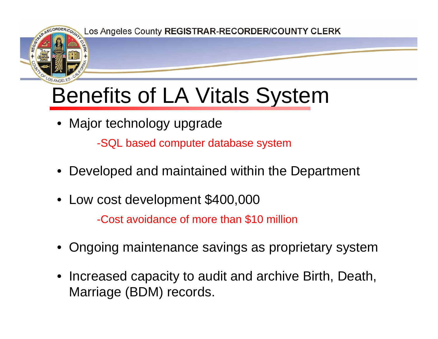

## Benefits of LA Vitals System

• Major technology upgrade

-SQL based computer database system

- Developed and maintained within the Department
- Low cost development \$400,000

-Cost avoidance of more than \$10 million

- Ongoing maintenance savings as proprietary system
- Increased capacity to audit and archive Birth, Death, Marriage (BDM) records.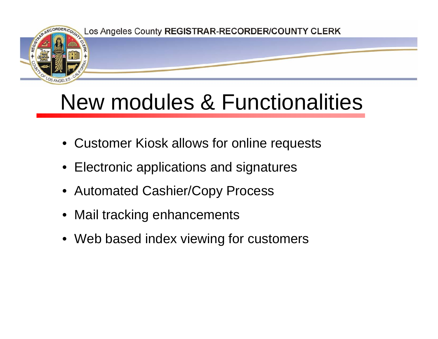

## New modules & Functionalities

- Customer Kiosk allows for online requests
- Electronic applications and signatures
- Automated Cashier/Copy Process
- Mail tracking enhancements
- Web based index viewing for customers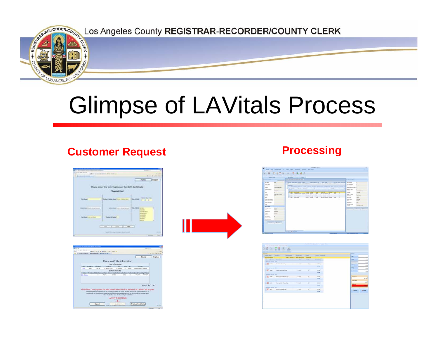

# Glimpse of LAVitals Process

### **Customer Request <b>Processing**

| <b>CONTRACTOR</b>                |                                                                    | Hung                                                                                                        |
|----------------------------------|--------------------------------------------------------------------|-------------------------------------------------------------------------------------------------------------|
| <b>Please en</b>                 | the information on the Birth Certificate                           |                                                                                                             |
|                                  | <b><i><u><u><b>Bargained Highli</b></u></u></i></b><br>___________ |                                                                                                             |
|                                  | <b>Corp. La Marchine Alexandra</b>                                 | <b>CARD AND THE REAL</b><br>Women Class Allen<br><b>Daniel of Minis</b><br>$1 - 4 - 6$<br><b>CONTRACTOR</b> |
|                                  |                                                                    |                                                                                                             |
| <b>MARINE PERSON</b>             | Market on States                                                   | 10,000<br>                                                                                                  |
| Total Market Printers and Thomas | <b>NEW YORK IS</b>                                                 |                                                                                                             |
|                                  |                                                                    |                                                                                                             |
|                                  |                                                                    |                                                                                                             |







|                                    | because when the company's the company's company's property and the company's company's company's company's company's |                                                 |                |                                                                       | <b>Tachet</b>       |
|------------------------------------|-----------------------------------------------------------------------------------------------------------------------|-------------------------------------------------|----------------|-----------------------------------------------------------------------|---------------------|
| <b>CARBITERS</b>                   |                                                                                                                       | Web: Regard St., New Transaction. \$4,500 to \$ |                |                                                                       | <b>County</b><br>-  |
|                                    | provide and company                                                                                                   | __<br><b>Seattle Comments</b>                   | <b>Service</b> | the property of the control of the control of<br><b>Department</b> of | <b>Died I</b>       |
| In frase futured deposites (1980). |                                                                                                                       |                                                 |                |                                                                       |                     |
|                                    | <b>EX Net description and the second control</b>                                                                      |                                                 |                | <b>Miles</b>                                                          | <b>Statement</b>    |
|                                    |                                                                                                                       |                                                 |                | <b>ATM</b>                                                            |                     |
|                                    |                                                                                                                       |                                                 |                |                                                                       | <b>Wing</b>         |
|                                    | X 1944 Sun Carline Car                                                                                                | assessing the assessed                          | ٠              | <b>HIME</b>                                                           | <b>March 19</b>     |
|                                    |                                                                                                                       |                                                 |                | <b>British</b>                                                        |                     |
| of their faces factory. 2004.      |                                                                                                                       |                                                 |                |                                                                       |                     |
|                                    | The time therap (within time : \$1100)                                                                                |                                                 |                | <b>MARK</b>                                                           | <b>Julat Dee</b>    |
|                                    |                                                                                                                       |                                                 |                | <b>Billian</b>                                                        | <b>Toke Fed</b>     |
| of thick during business (models)  |                                                                                                                       |                                                 |                |                                                                       |                     |
|                                    | K cars the contract of the cars in the                                                                                |                                                 |                | <b>BERNE</b>                                                          | <b>Reference</b>    |
|                                    |                                                                                                                       |                                                 |                | <b>SILMS</b>                                                          |                     |
| it has been builder. Incl. .       |                                                                                                                       |                                                 |                |                                                                       |                     |
|                                    | <b>X</b> MO RECORDING IT LENGTH AND REAL                                                                              |                                                 |                | \$17.99                                                               | U.Saker<br>U Canadi |
|                                    |                                                                                                                       |                                                 |                | <b>STAR</b>                                                           |                     |
|                                    |                                                                                                                       |                                                 |                |                                                                       |                     |
|                                    |                                                                                                                       |                                                 |                |                                                                       |                     |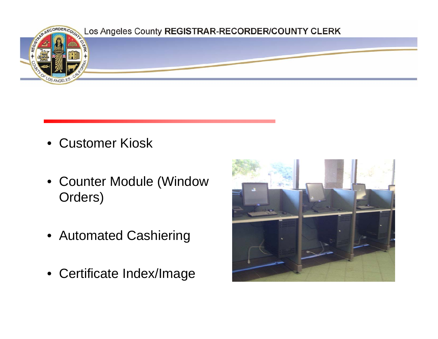

- Customer Kiosk
- Counter Module (Window Orders)
- Automated Cashiering
- Certificate Index/Image

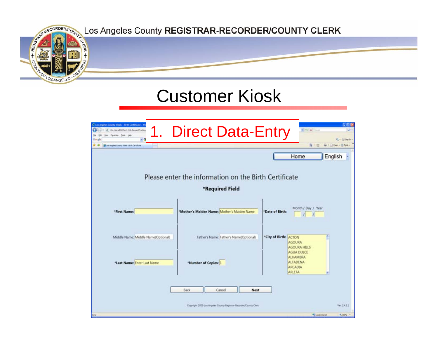

## Customer Kiosk

| 2 Los Angeles County Vitals - Birth Certificate - W<br>Http://teradOLClert.Web.RequestTrackrg<br>Fporter Jam<br>Los Angeles County Vitals - Brift Centificate | <b>Direct Data-Entry</b>                                                                     | $w[(4p)  X_0^2]$ (map)<br><b>D</b><br><b>C . Ginebry</b><br>M . Door . D Tutk .<br>$\mathbb{R}$ . III |
|---------------------------------------------------------------------------------------------------------------------------------------------------------------|----------------------------------------------------------------------------------------------|-------------------------------------------------------------------------------------------------------|
|                                                                                                                                                               |                                                                                              | English<br>Home                                                                                       |
|                                                                                                                                                               | Please enter the information on the Birth Certificate<br>*Required Field                     |                                                                                                       |
| *First Name:                                                                                                                                                  | *Mother's Maiden Name: Mother's Maiden Name                                                  | Month / Day / Year<br>*Date of Birth:                                                                 |
| Middle Name: Middle Name(Optional)                                                                                                                            | Father's Name: Father's Name(Optional)                                                       | *City of Birth:<br>ACTON<br><b>AGOURA</b><br><b>AGOURA HILLS</b><br><b>AGUA DULCE</b><br>ALHAMBRA     |
| *Last Name: Enter Last Name                                                                                                                                   | *Number of Copies: 1                                                                         | <b>ALTADENA</b><br><b>ARCADIA</b><br>ARLETA                                                           |
|                                                                                                                                                               | Back<br>Cancel<br>Next<br>Copyright 2009 Los Angeles County Registrar-Recorder/County Clerk. | Ver. 2.4.1.1<br><b>Ky Lacal Intranet</b><br>PL 100% -                                                 |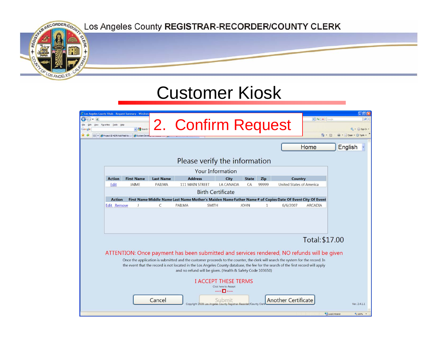

### Customer Kiosk

| e<br>Google<br>$58 - 51$ | View Favorites Tools<br>Help<br>Project ID 4276 Add Field to | C Los Angeles County Vitals - Request Summary - Windows<br>v & Search<br>System Dev |                  | 2. Confirm Request                                                                                                                                                                                                                                                                                                                                                                                                                                                                                   |                                                                                                                                                                                                                                                                                                                                                                                      |              |            |                                 | $\mathbf{v}$ $\mathbf{v}$ $\mathbf{v}$ $\mathbf{x}$ Google<br>$\mathbb{Z}$ | $\Box$ o $\times$<br>$\overline{\mathsf{p}}$<br>Sign In<br>同<br>Page - C Tools |
|--------------------------|--------------------------------------------------------------|-------------------------------------------------------------------------------------|------------------|------------------------------------------------------------------------------------------------------------------------------------------------------------------------------------------------------------------------------------------------------------------------------------------------------------------------------------------------------------------------------------------------------------------------------------------------------------------------------------------------------|--------------------------------------------------------------------------------------------------------------------------------------------------------------------------------------------------------------------------------------------------------------------------------------------------------------------------------------------------------------------------------------|--------------|------------|---------------------------------|----------------------------------------------------------------------------|--------------------------------------------------------------------------------|
|                          |                                                              |                                                                                     |                  |                                                                                                                                                                                                                                                                                                                                                                                                                                                                                                      |                                                                                                                                                                                                                                                                                                                                                                                      |              |            |                                 | Home                                                                       | English                                                                        |
|                          |                                                              |                                                                                     |                  | Please verify the information                                                                                                                                                                                                                                                                                                                                                                                                                                                                        |                                                                                                                                                                                                                                                                                                                                                                                      |              |            |                                 |                                                                            |                                                                                |
|                          |                                                              |                                                                                     |                  |                                                                                                                                                                                                                                                                                                                                                                                                                                                                                                      | <b>Your Information</b>                                                                                                                                                                                                                                                                                                                                                              |              |            |                                 |                                                                            |                                                                                |
|                          | <b>Action</b>                                                | <b>First Name</b>                                                                   | <b>Last Name</b> | <b>Address</b>                                                                                                                                                                                                                                                                                                                                                                                                                                                                                       | City                                                                                                                                                                                                                                                                                                                                                                                 | <b>State</b> | <b>Zip</b> | Country                         |                                                                            |                                                                                |
|                          | Edit                                                         | <b>JAIME</b>                                                                        | <b>PAILMA</b>    | <b>111 MAIN STREET</b>                                                                                                                                                                                                                                                                                                                                                                                                                                                                               | LA CANADA                                                                                                                                                                                                                                                                                                                                                                            | CA           | 99999      | <b>United States of America</b> |                                                                            |                                                                                |
|                          |                                                              |                                                                                     |                  |                                                                                                                                                                                                                                                                                                                                                                                                                                                                                                      | <b>Birth Certificate</b>                                                                                                                                                                                                                                                                                                                                                             |              |            |                                 |                                                                            |                                                                                |
|                          | <b>Action</b>                                                |                                                                                     |                  | First Name Middle Name Last Name Mother's Maiden Name Father Name # of Copies Date Of Event City Of Event<br><b>SMITH</b>                                                                                                                                                                                                                                                                                                                                                                            |                                                                                                                                                                                                                                                                                                                                                                                      |              |            |                                 |                                                                            |                                                                                |
|                          |                                                              |                                                                                     |                  |                                                                                                                                                                                                                                                                                                                                                                                                                                                                                                      |                                                                                                                                                                                                                                                                                                                                                                                      |              |            |                                 |                                                                            |                                                                                |
|                          |                                                              |                                                                                     | Cancel           | ATTENTION: Once payment has been submitted and services rendered, NO refunds will be given<br>Once the application is submitted and the customer proceeds to the counter, the clerk will search the system for the record. In<br>the event that the record is not located in the Los Angeles County database, the fee for the search of the first record will apply<br>and no refund will be given. (Health & Safety Code 103650)<br>Copyright 2009 Los Angeles County Registrar-Recorder/County Cle | <b>I ACCEPT THESE TERMS</b><br>Click here to Accept<br>$\frac{1}{2}$ $\frac{1}{2}$ $\frac{1}{2}$ $\frac{1}{2}$ $\frac{1}{2}$ $\frac{1}{2}$ $\frac{1}{2}$ $\frac{1}{2}$ $\frac{1}{2}$ $\frac{1}{2}$ $\frac{1}{2}$ $\frac{1}{2}$ $\frac{1}{2}$ $\frac{1}{2}$ $\frac{1}{2}$ $\frac{1}{2}$ $\frac{1}{2}$ $\frac{1}{2}$ $\frac{1}{2}$ $\frac{1}{2}$ $\frac{1}{2}$ $\frac{1}{2}$<br>Submit |              |            | <b>Another Certificate</b>      | Total: \$17.00                                                             | Ver. 2.4.1.1                                                                   |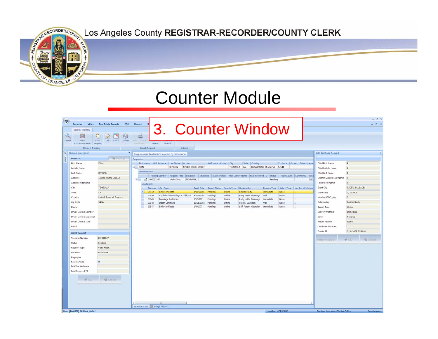

## Counter Module

| <b>Request Tracking</b><br>Search Request<br>Actions<br><b>Birth Certificate Request</b><br>Request Information<br>Drag a column header here to group by that column.<br>& Lookup<br>Requestor<br>Requestor<br>DON<br>First Name Middle Name Last Name Address<br>Address Additional City<br>Zip Code Phone Driver License<br>p<br>State Country<br>First Name<br>Child First Name<br><b>DON</b><br>BENSON<br>123456 SOME STREET<br>TEMECULA CA<br>United States of America 54544<br>Child Middle Name<br>Þ<br>Middle Name<br>SearchRequest<br><b>BENSON</b><br>Child Last Name<br>Last Name<br>Tracking Number Request Type   Location Employee   Mail Certified   Mail Carrier Name   Mail Received TS   Status   Page Count   Comments   Crea<br>123456 SOME STREET<br>Mother Maiden Last Name<br><b>Address</b><br>₹ 000033387<br>2/25<br>9.<br>Vitals Krosk<br>NORWALK<br>目<br>Pending<br>Address Additional<br><b>Father First Name</b><br>Vital5earch<br><b>TEMECULA</b><br>PACIFIC PALISADES<br>City<br>Event City<br>Number Cert Type<br>Event Date Search Status Search Type Relationship<br>Delivery Type Return Type Number Of Copies<br><b>Birth Certificate</b><br>1/15/2008<br>Online<br><b>Entitled Party</b><br>Immediate<br>34412<br>Pending<br>None<br>$\mathbf{1}$<br>CA<br>Event Date<br>1/15/2008<br>State<br>Confidential Marriage Certificate<br>Offline<br>33850<br>4/13/1994<br>Pending<br>Party to the Marriage<br>Mail<br>$\mathbf{1}$<br>None<br>United States of America<br>Number Of Copies<br>Country<br>$\mathbf{1}$<br>$\vert$ 1<br>Online<br>33849<br>Marriage Certificate<br>5/16/2001<br>Pending<br>Party to the Marriage<br>Immediate<br>None<br>54544<br><b>Entitled Party</b><br>Zip Code<br>Relationship<br>Death Certificate<br>Offline<br>1<br>33848<br>10/31/1968<br>Pending<br>Parent, Guardian<br>Mail<br>None<br>$\mathbf{1}$<br><b>Birth Certificate</b><br>33847<br>1/4/1977<br>Pending<br>Online<br>Self, Parent, Guardian<br>Immediate<br>None<br>Search Type<br>Online<br>Phone<br>Delivery Method<br>Driver License Number<br>Immediate<br>Driver License Expiration<br>Status<br>Pending<br>Driver License State<br>Return Reason<br>None<br>Certificate Number<br>Email<br>Create TS<br>5/18/2009 5:26 PM<br>Search Request<br>000033387<br><b>Tracking Number</b><br>$\mathcal{P}$ OK<br><b>Q</b> Cancel<br>Perform Search<br>Pending<br>Status<br>Vitals Kiosk<br>Request Type<br>NORWALK<br>Location<br>Employee<br>Mail Certified<br>Mail Carrier Name<br>Mail Received TS<br><b>O</b> Cancel<br>4000<br>$\leftarrow$ | ಀ<br><b>Recorder</b><br><b>Vitals</b><br><b>Request Tracking</b><br>Q<br>ES.<br>Search<br>View<br>Correspondence<br>Request | <b>Real Estate Records</b><br>PO <sub>5</sub><br>SOF<br>Close<br>New<br>Fdit<br><b>Devices</b> | Finance<br>昌<br>Frint (FDuin<br>Certificate(s) | 3. Counter Window<br>Status - Search - |  |  |  |  | $-72$<br>资文 |
|----------------------------------------------------------------------------------------------------------------------------------------------------------------------------------------------------------------------------------------------------------------------------------------------------------------------------------------------------------------------------------------------------------------------------------------------------------------------------------------------------------------------------------------------------------------------------------------------------------------------------------------------------------------------------------------------------------------------------------------------------------------------------------------------------------------------------------------------------------------------------------------------------------------------------------------------------------------------------------------------------------------------------------------------------------------------------------------------------------------------------------------------------------------------------------------------------------------------------------------------------------------------------------------------------------------------------------------------------------------------------------------------------------------------------------------------------------------------------------------------------------------------------------------------------------------------------------------------------------------------------------------------------------------------------------------------------------------------------------------------------------------------------------------------------------------------------------------------------------------------------------------------------------------------------------------------------------------------------------------------------------------------------------------------------------------------------------------------------------------------------------------------------------------------------------------------------------------------------------------------------------------------------------------------------------------------------------------------------------------------------------------------------------------------------------------------------------------------------------------------------------------------------------------------------------------------------------|-----------------------------------------------------------------------------------------------------------------------------|------------------------------------------------------------------------------------------------|------------------------------------------------|----------------------------------------|--|--|--|--|-------------|
|                                                                                                                                                                                                                                                                                                                                                                                                                                                                                                                                                                                                                                                                                                                                                                                                                                                                                                                                                                                                                                                                                                                                                                                                                                                                                                                                                                                                                                                                                                                                                                                                                                                                                                                                                                                                                                                                                                                                                                                                                                                                                                                                                                                                                                                                                                                                                                                                                                                                                                                                                                                  |                                                                                                                             |                                                                                                |                                                |                                        |  |  |  |  |             |
|                                                                                                                                                                                                                                                                                                                                                                                                                                                                                                                                                                                                                                                                                                                                                                                                                                                                                                                                                                                                                                                                                                                                                                                                                                                                                                                                                                                                                                                                                                                                                                                                                                                                                                                                                                                                                                                                                                                                                                                                                                                                                                                                                                                                                                                                                                                                                                                                                                                                                                                                                                                  |                                                                                                                             |                                                                                                |                                                |                                        |  |  |  |  |             |
|                                                                                                                                                                                                                                                                                                                                                                                                                                                                                                                                                                                                                                                                                                                                                                                                                                                                                                                                                                                                                                                                                                                                                                                                                                                                                                                                                                                                                                                                                                                                                                                                                                                                                                                                                                                                                                                                                                                                                                                                                                                                                                                                                                                                                                                                                                                                                                                                                                                                                                                                                                                  |                                                                                                                             |                                                                                                |                                                |                                        |  |  |  |  |             |
|                                                                                                                                                                                                                                                                                                                                                                                                                                                                                                                                                                                                                                                                                                                                                                                                                                                                                                                                                                                                                                                                                                                                                                                                                                                                                                                                                                                                                                                                                                                                                                                                                                                                                                                                                                                                                                                                                                                                                                                                                                                                                                                                                                                                                                                                                                                                                                                                                                                                                                                                                                                  |                                                                                                                             |                                                                                                |                                                |                                        |  |  |  |  |             |
|                                                                                                                                                                                                                                                                                                                                                                                                                                                                                                                                                                                                                                                                                                                                                                                                                                                                                                                                                                                                                                                                                                                                                                                                                                                                                                                                                                                                                                                                                                                                                                                                                                                                                                                                                                                                                                                                                                                                                                                                                                                                                                                                                                                                                                                                                                                                                                                                                                                                                                                                                                                  |                                                                                                                             |                                                                                                |                                                |                                        |  |  |  |  |             |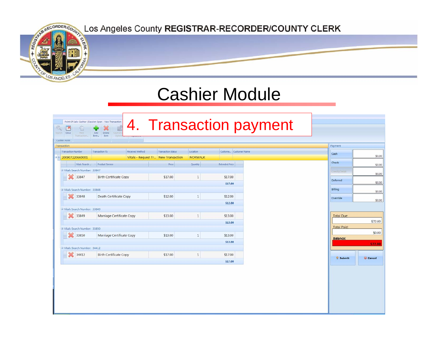

### 4. Transaction paymentPoint Of Sale: Cashier (Session Open - New Transaction  $Q$ E Add Delete  $Rem -$ Rem Cashier Forn Transaction Payment Transaction Number Transaction TS Received Method **Transaction Status** Location Custome... Customer Name Cash  $-200907220660001$ Vitals - Request Tr... New Transaction NORWALK Check Product Service Vitals Search Price Quantity **Extended Price** S Vitals Search Number: 33847 33847 \$17.00  $\mathbf{1}$ **Birth Certificate Copy** \$17.00 Deferred \$17.00 <sup>3</sup> Vitals Search Number: 33848 Billing 33848 Death Certificate Copy \$12.00  $\overline{1}$ \$12.00 Override \$12.00 33849 Vitals Search Number: 33849 33849 Marriage Certificate Copy \$13.00  $\mathbf{1}$ \$13.00 **Total Due** \$72.00 \$13.00 **Total Paid:** Vitals Search Number: 33850 \$0.00 33850 Marriage Certificate Copy \$13.00  $\mathbf 1$ \$13.00 **Balance:** \$13.00 \$72.00 Vitals Search Number: 34412 34412 **Birth Certificate Copy** \$17.00  $\mathbf{1}$ \$17.00 © Submit Cancel \$17.00

\$0.00

\$0.00

\$0.00

\$0.00

\$0.00

\$0.00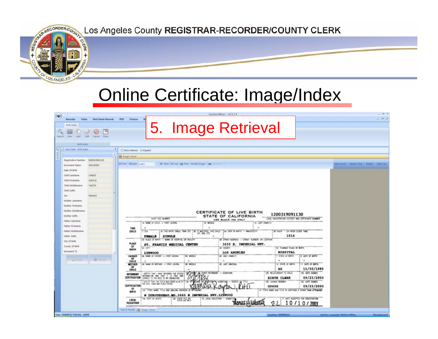

### Online Certificate: Image/Index

| $\ddot{\mathbf{v}}$<br>Recorder<br><b>Birth Index</b><br><b>Search</b><br>View                                                                                                                  | <b>Witata</b>                                                                                                                                       | <b>Real Estate Records</b><br>Cancel Clyse                                            | POS<br>Finance                                                                                                                                                                                                     |                                       |                                                                                                                                                                                                                                                                                                                                                                                   |                                                                     |                                                              | System Menu - v2.4.7.4<br>5. Image Retrieval                                                                                                                                                                |                                                                                                                                                                                                                                                   |                                                                                                                                                                                   |                                                           |                     |
|-------------------------------------------------------------------------------------------------------------------------------------------------------------------------------------------------|-----------------------------------------------------------------------------------------------------------------------------------------------------|---------------------------------------------------------------------------------------|--------------------------------------------------------------------------------------------------------------------------------------------------------------------------------------------------------------------|---------------------------------------|-----------------------------------------------------------------------------------------------------------------------------------------------------------------------------------------------------------------------------------------------------------------------------------------------------------------------------------------------------------------------------------|---------------------------------------------------------------------|--------------------------------------------------------------|-------------------------------------------------------------------------------------------------------------------------------------------------------------------------------------------------------------|---------------------------------------------------------------------------------------------------------------------------------------------------------------------------------------------------------------------------------------------------|-----------------------------------------------------------------------------------------------------------------------------------------------------------------------------------|-----------------------------------------------------------|---------------------|
|                                                                                                                                                                                                 | forth Index<br>View Data > Brth Index                                                                                                               |                                                                                       | El Show Mamos V Eigand<br><b>Ell Image Viewer</b>                                                                                                                                                                  |                                       |                                                                                                                                                                                                                                                                                                                                                                                   |                                                                     |                                                              |                                                                                                                                                                                                             |                                                                                                                                                                                                                                                   |                                                                                                                                                                                   |                                                           |                     |
| Date Of Birth<br>Child Lastname<br>Child Firstname<br>Child Suffix<br>Sale:<br>Mother Suffix<br>Father Lashtame<br><b>Father Firstname</b><br>Father Suffix<br>City Of Birth<br>County Of Birth | Registration Number<br><b>Document Status:</b><br>Child Middlename<br>Mother Lasthame<br>Mother Firstname<br>Mother Middlename<br>Father Middlename | E3003CO91130<br><b><i>MICHRITO</i></b><br>CHLDS.<br>ALEXUS<br>VELETA<br><b>FEMALE</b> | 14 Krit 42 Salt 1 of 1<br><b>THIS</b><br>CHILD<br><b>PLACE</b><br><b>OF</b>                                                                                                                                        | 1.77<br><b>FIDIALE</b>                | Dr Next, DG Last de Print, Modify Image + am Homerson<br>STATE FILE NUMBER<br>IA NAME OF OYLD - FIRST IGNEN.<br>SA THIS BATH, SINGLE, THIN, ETC.<br>SINGLE<br>SA PLACE OF BIRTH - NAME OF HOSPITAL OR FACILITY<br>ST. FRANCIS MEDICAL CENTER                                                                                                                                      |                                                                     | 18 MODLE<br>٠<br>38 IF MULTIPLE, THIS DAILY<br>157, 260      | <b>CERTIFICATE OF LIVE BIRTH</b><br>STATE OF CALIFORNIA<br>USE BLACK INK ONLY<br>$\blacksquare$<br>AA DATE OF BIRTH - MM/DD/CEYY<br>58 STREET ADDRESS - STREET NUMBER, OR LOCATION<br>3630 E. IMPERIAL HWY. | 1200319091130<br>YO LAST (FAMILY)<br>49 HOUR - (24 HOUR CLOCK TIME)<br>1514                                                                                                                                                                       | LOCAL RESISTRATION DISTRICT AND CERTIFICATE NUMBER                                                                                                                                | Aims 2 p.m. 1 .: Mouse, Tout .: .: Notabe  . Clean Lip. . |                     |
| Deceased TS                                                                                                                                                                                     | <b>W</b> Sain                                                                                                                                       | <b>G</b> cases                                                                        | <b>BIRTH</b><br>FATHER<br>$\alpha$<br>CHILD<br>MOTHER<br>0f<br><b>CHILD</b><br>INFORMANT<br><b>CERTIFICATION</b><br><b>CERTIFICATION</b><br>α<br>BIRTH<br>LOCAL<br>REGISTRAR<br>Search Results   Ed. Broade Viewer | sc on<br>LYNWOOD<br>ISA DATE OF DEATH | 64. NAME OF GUIDER - FIRST (S/VEN)<br>as MM O MODER - FAST (CVIN)<br>CERTIFY THAT I HAVE REVEWED THE STATED.<br>MONARTON AND THAT IT IS TRUE AND<br>COMMENT TO THE BEST OF MY KNOWLEDGE.<br>CERTIFY THAT THE CHILD WAS ROAN ALTHE AT<br>4 DAYE HOUR AND PLACE STATED<br>U2 THRD NAME STLE AND MAILING ADDRESS<br>W DUROUSSEAU.MD. 3660 E IMPERIAL HWY.LYNWOOD<br>THE STATE FLE NO | <b>BB MIDDLE</b><br>$\sim$<br><b>M MOOJ</b><br><b>PERMIT</b><br>134 | DTHER INFORMANT - SCAATURE<br>16 LOCAL REGISTRAR - SIGNATURE | 50 COLATY<br><b>LOS ANGELES</b><br><b>BC LAST (FAMILY)</b><br>$\sim$<br><b>BC LAST INAIDEN:</b>                                                                                                             | SE PLANNED PLACE OF BIRTH<br><b>HOSPITAL</b><br>- STATE OF BIRTH<br>٠<br>10 STATE OF BRITH<br>λZ<br>128 RELATIONSHIP TO CHILD<br>BIRTH CLERK<br><b>136 LICENSE MUMBER</b><br>G9498<br>14 THREE NAME AND TITLE OF CORTIFIER A DTHER THAN ATTENDANT | 8 DATE OF BRIDE<br><b>H DATE OF BATH</b><br>11/30/1983<br>IDC DATE SIGNED<br>09/23/2003<br><b>UK DATE SIGNED</b><br>09/23/2003<br>17 DATE ACCEPTED FOR REGISTRATION<br>10/10/2003 |                                                           |                     |
| User: (E486879) PAILMA, JA2ME                                                                                                                                                                   |                                                                                                                                                     |                                                                                       |                                                                                                                                                                                                                    |                                       |                                                                                                                                                                                                                                                                                                                                                                                   |                                                                     |                                                              |                                                                                                                                                                                                             |                                                                                                                                                                                                                                                   | Location: NORWALK                                                                                                                                                                 | Section: Lancaster District Office                        | <b>Development:</b> |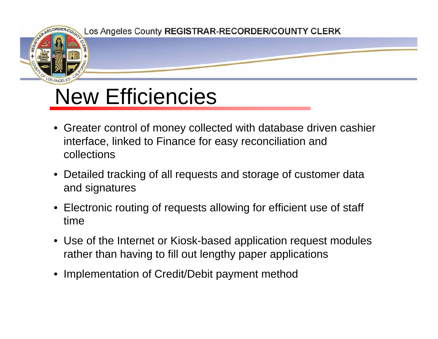

## New Efficiencies

- Greater control of money collected with database driven cashier interface, linked to Finance for easy reconciliation and collections
- Detailed tracking of all requests and storage of customer data and signatures
- Electronic routing of requests allowing for efficient use of staff time
- Use of the Internet or Kiosk-based application request modules rather than having to fill out lengthy paper applications
- $\bullet$ Implementation of Credit/Debit payment method